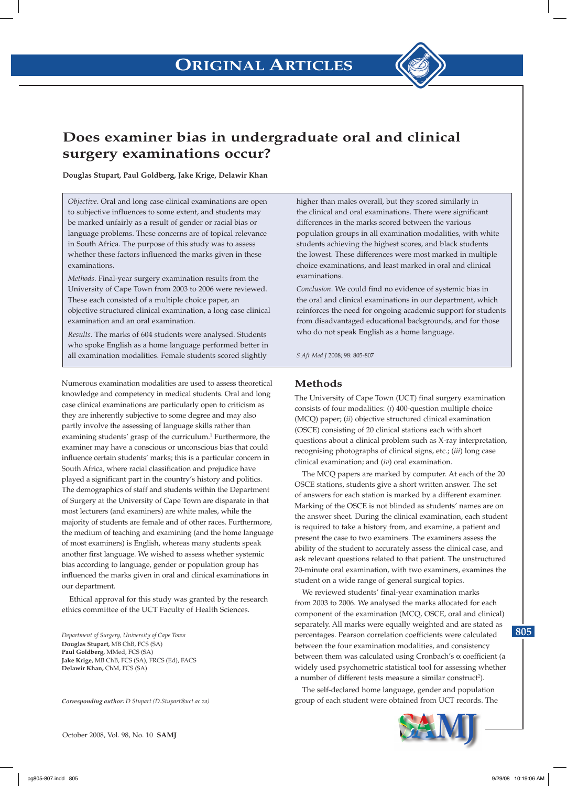

# **Does examiner bias in undergraduate oral and clinical surgery examinations occur?**

**Douglas Stupart, Paul Goldberg, Jake Krige, Delawir Khan**

*Objective*. Oral and long case clinical examinations are open to subjective influences to some extent, and students may be marked unfairly as a result of gender or racial bias or language problems. These concerns are of topical relevance in South Africa. The purpose of this study was to assess whether these factors influenced the marks given in these examinations.

*Methods*. Final-year surgery examination results from the University of Cape Town from 2003 to 2006 were reviewed. These each consisted of a multiple choice paper, an objective structured clinical examination, a long case clinical examination and an oral examination.

*Results*. The marks of 604 students were analysed. Students who spoke English as a home language performed better in all examination modalities. Female students scored slightly

Numerous examination modalities are used to assess theoretical knowledge and competency in medical students. Oral and long case clinical examinations are particularly open to criticism as they are inherently subjective to some degree and may also partly involve the assessing of language skills rather than examining students' grasp of the curriculum.<sup>1</sup> Furthermore, the examiner may have a conscious or unconscious bias that could influence certain students' marks; this is a particular concern in South Africa, where racial classification and prejudice have played a significant part in the country's history and politics. The demographics of staff and students within the Department of Surgery at the University of Cape Town are disparate in that most lecturers (and examiners) are white males, while the majority of students are female and of other races. Furthermore, the medium of teaching and examining (and the home language of most examiners) is English, whereas many students speak another first language. We wished to assess whether systemic bias according to language, gender or population group has influenced the marks given in oral and clinical examinations in our department.

Ethical approval for this study was granted by the research ethics committee of the UCT Faculty of Health Sciences.

*Department of Surgery, University of Cape Town* **Douglas Stupart,** MB ChB, FCS (SA) **Paul Goldberg,** MMed, FCS (SA) **Jake Krige,** MB ChB, FCS (SA), FRCS (Ed), FACS **Delawir Khan,** ChM, FCS (SA)

*Corresponding author: D Stupart (D.Stupart@uct.ac.za)*

October 2008, Vol. 98, No. 10 **SAMJ**

higher than males overall, but they scored similarly in the clinical and oral examinations. There were significant differences in the marks scored between the various population groups in all examination modalities, with white students achieving the highest scores, and black students the lowest. These differences were most marked in multiple choice examinations, and least marked in oral and clinical examinations.

*Conclusion*. We could find no evidence of systemic bias in the oral and clinical examinations in our department, which reinforces the need for ongoing academic support for students from disadvantaged educational backgrounds, and for those who do not speak English as a home language.

*S Afr Med J* 2008; 98: 805-807

## **Methods**

The University of Cape Town (UCT) final surgery examination consists of four modalities: (*i*) 400-question multiple choice (MCQ) paper; (*ii*) objective structured clinical examination (OSCE) consisting of 20 clinical stations each with short questions about a clinical problem such as X-ray interpretation, recognising photographs of clinical signs, etc.; (*iii*) long case clinical examination; and (*iv*) oral examination.

The MCQ papers are marked by computer. At each of the 20 OSCE stations, students give a short written answer. The set of answers for each station is marked by a different examiner. Marking of the OSCE is not blinded as students' names are on the answer sheet. During the clinical examination, each student is required to take a history from, and examine, a patient and present the case to two examiners. The examiners assess the ability of the student to accurately assess the clinical case, and ask relevant questions related to that patient. The unstructured 20-minute oral examination, with two examiners, examines the student on a wide range of general surgical topics.

We reviewed students' final-year examination marks from 2003 to 2006. We analysed the marks allocated for each component of the examination (MCQ, OSCE, oral and clinical) separately. All marks were equally weighted and are stated as percentages. Pearson correlation coefficients were calculated between the four examination modalities, and consistency between them was calculated using Cronbach's α coefficient (a widely used psychometric statistical tool for assessing whether a number of different tests measure a similar construct<sup>2</sup>).

The self-declared home language, gender and population group of each student were obtained from UCT records. The



**805**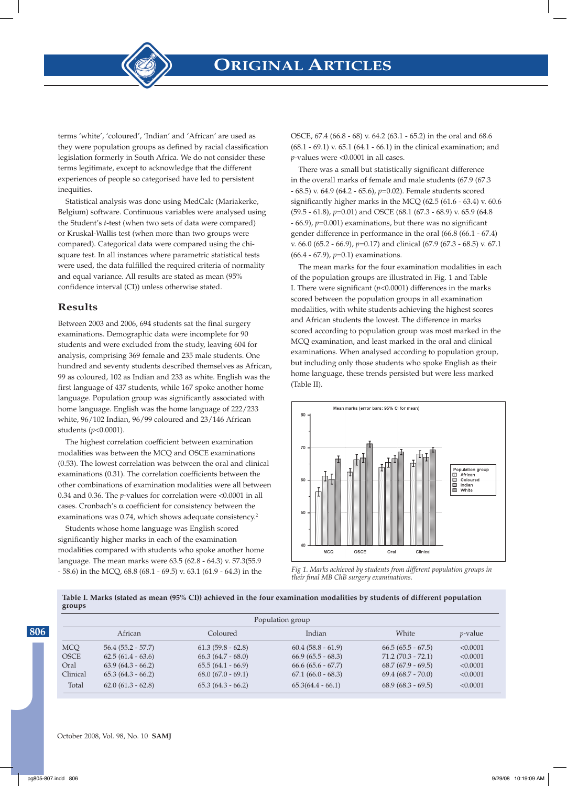**ORIGINAL ARTICLES**

terms 'white', 'coloured', 'Indian' and 'African' are used as they were population groups as defined by racial classification legislation formerly in South Africa. We do not consider these terms legitimate, except to acknowledge that the different experiences of people so categorised have led to persistent inequities.

Statistical analysis was done using MedCalc (Mariakerke, Belgium) software. Continuous variables were analysed using the Student's *t*-test (when two sets of data were compared) or Kruskal-Wallis test (when more than two groups were compared). Categorical data were compared using the chisquare test. In all instances where parametric statistical tests were used, the data fulfilled the required criteria of normality and equal variance. All results are stated as mean (95% confidence interval (CI)) unless otherwise stated.

## **Results**

Between 2003 and 2006, 694 students sat the final surgery examinations. Demographic data were incomplete for 90 students and were excluded from the study, leaving 604 for analysis, comprising 369 female and 235 male students. One hundred and seventy students described themselves as African, 99 as coloured, 102 as Indian and 233 as white. English was the first language of 437 students, while 167 spoke another home language. Population group was significantly associated with home language. English was the home language of 222/233 white, 96/102 Indian, 96/99 coloured and 23/146 African students (*p*<0.0001).

The highest correlation coefficient between examination modalities was between the MCQ and OSCE examinations (0.53). The lowest correlation was between the oral and clinical examinations (0.31). The correlation coefficients between the other combinations of examination modalities were all between 0.34 and 0.36. The *p*-values for correlation were <0.0001 in all cases. Cronbach's α coefficient for consistency between the examinations was 0.74, which shows adequate consistency.<sup>2</sup>

Students whose home language was English scored significantly higher marks in each of the examination modalities compared with students who spoke another home language. The mean marks were 63.5 (62.8 - 64.3) v. 57.3(55.9 - 58.6) in the MCQ, 68.8 (68.1 - 69.5) v. 63.1 (61.9 - 64.3) in the

OSCE, 67.4 (66.8 - 68) v. 64.2 (63.1 - 65.2) in the oral and 68.6 (68.1 - 69.1) v. 65.1 (64.1 - 66.1) in the clinical examination; and *p*-values were <0.0001 in all cases.

There was a small but statistically significant difference in the overall marks of female and male students (67.9 (67.3 - 68.5) v. 64.9 (64.2 - 65.6), *p*=0.02). Female students scored significantly higher marks in the MCQ (62.5 (61.6 - 63.4) v. 60.6 (59.5 - 61.8), *p*=0.01) and OSCE (68.1 (67.3 - 68.9) v. 65.9 (64.8 - 66.9), *p*=0.001) examinations, but there was no significant gender difference in performance in the oral (66.8 (66.1 - 67.4) v. 66.0 (65.2 - 66.9), *p*=0.17) and clinical (67.9 (67.3 - 68.5) v. 67.1 (66.4 - 67.9), *p*=0.1) examinations.

The mean marks for the four examination modalities in each of the population groups are illustrated in Fig. 1 and Table I. There were significant  $(p<0.0001)$  differences in the marks scored between the population groups in all examination modalities, with white students achieving the highest scores and African students the lowest. The difference in marks scored according to population group was most marked in the MCQ examination, and least marked in the oral and clinical examinations. When analysed according to population group, but including only those students who spoke English as their home language, these trends persisted but were less marked (Table II). *Fig 1. Marks achieved by students from different population groups in their final MB ChB*



*Fig 1. Marks achieved by students from different population groups in their final MB ChB surgery examinations.*

### **Table I. Marks (stated as mean (95% CI)) achieved in the four examination modalities by students of different population groups**

|     | Population group |                      |                      |                     |                     |            |  |  |  |
|-----|------------------|----------------------|----------------------|---------------------|---------------------|------------|--|--|--|
| 806 |                  | African              | Coloured             | Indian              | White               | $p$ -value |  |  |  |
|     | <b>MCO</b>       | $56.4(55.2 - 57.7)$  | $61.3(59.8-62.8)$    | $60.4(58.8-61.9)$   | $66.5(65.5 - 67.5)$ | < 0.0001   |  |  |  |
|     | <b>OSCE</b>      | $62.5(61.4-63.6)$    | $66.3(64.7 - 68.0)$  | $66.9(65.5 - 68.3)$ | $71.2(70.3 - 72.1)$ | < 0.0001   |  |  |  |
|     | Oral             | $63.9(64.3 - 66.2)$  | $65.5(64.1 - 66.9)$  | $66.6(65.6 - 67.7)$ | $68.7(67.9-69.5)$   | < 0.0001   |  |  |  |
|     | Clinical         | $65.3(64.3 - 66.2)$  | $68.0 (67.0 - 69.1)$ | $67.1(66.0 - 68.3)$ | $69.4(68.7 - 70.0)$ | < 0.0001   |  |  |  |
|     | Total            | $62.0 (61.3 - 62.8)$ | $65.3(64.3 - 66.2)$  | $65.3(64.4 - 66.1)$ | $68.9(68.3-69.5)$   | < 0.0001   |  |  |  |

October 2008, Vol. 98, No. 10 **SAMJ**